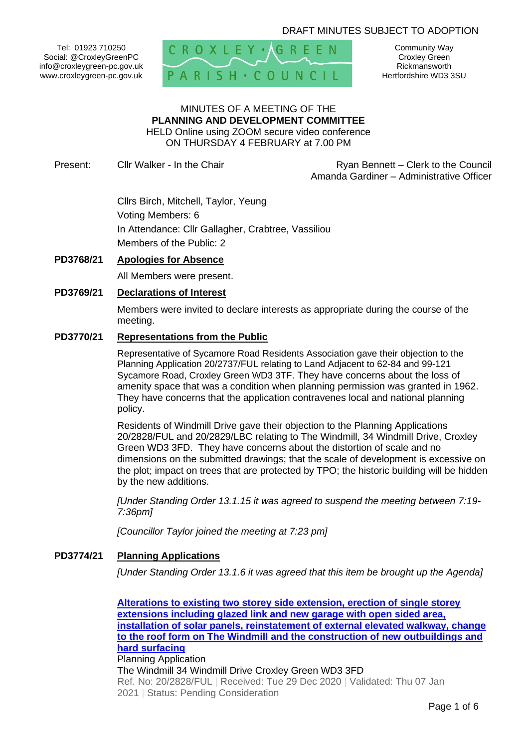## DRAFT MINUTES SUBJECT TO ADOPTION

Tel: 01923 710250 Social: @CroxleyGreenPC info@croxleygreen-pc.gov.uk www.croxleygreen-pc.gov.uk



Community Way Croxley Green Rickmansworth Hertfordshire WD3 3SU

# MINUTES OF A MEETING OF THE **PLANNING AND DEVELOPMENT COMMITTEE** HELD Online using ZOOM secure video conference

ON THURSDAY 4 FEBRUARY at 7.00 PM

Present: Cllr Walker - In the Chair **Ryan Bennett** – Clerk to the Council Amanda Gardiner – Administrative Officer

> Cllrs Birch, Mitchell, Taylor, Yeung Voting Members: 6 In Attendance: Cllr Gallagher, Crabtree, Vassiliou Members of the Public: 2

#### **PD3768/21 Apologies for Absence**

All Members were present.

## **PD3769/21 Declarations of Interest**

Members were invited to declare interests as appropriate during the course of the meeting.

#### **PD3770/21 Representations from the Public**

Representative of Sycamore Road Residents Association gave their objection to the Planning Application 20/2737/FUL relating to Land Adjacent to 62-84 and 99-121 Sycamore Road, Croxley Green WD3 3TF. They have concerns about the loss of amenity space that was a condition when planning permission was granted in 1962. They have concerns that the application contravenes local and national planning policy.

Residents of Windmill Drive gave their objection to the Planning Applications 20/2828/FUL and 20/2829/LBC relating to The Windmill, 34 Windmill Drive, Croxley Green WD3 3FD. They have concerns about the distortion of scale and no dimensions on the submitted drawings; that the scale of development is excessive on the plot; impact on trees that are protected by TPO; the historic building will be hidden by the new additions.

*[Under Standing Order 13.1.15 it was agreed to suspend the meeting between 7:19- 7:36pm]*

*[Councillor Taylor joined the meeting at 7:23 pm]*

#### **PD3774/21 Planning Applications**

*[Under Standing Order 13.1.6 it was agreed that this item be brought up the Agenda]*

**[Alterations to existing two storey side extension, erection of single storey](https://www3.threerivers.gov.uk/online-applications/applicationDetails.do?activeTab=summary&keyVal=QM3CYWQFLSL00&prevPage=inTray)  [extensions including glazed link and new garage with open sided area,](https://www3.threerivers.gov.uk/online-applications/applicationDetails.do?activeTab=summary&keyVal=QM3CYWQFLSL00&prevPage=inTray)  [installation of solar panels, reinstatement of external elevated walkway, change](https://www3.threerivers.gov.uk/online-applications/applicationDetails.do?activeTab=summary&keyVal=QM3CYWQFLSL00&prevPage=inTray)  [to the roof form on The Windmill and the construction of new outbuildings and](https://www3.threerivers.gov.uk/online-applications/applicationDetails.do?activeTab=summary&keyVal=QM3CYWQFLSL00&prevPage=inTray)  [hard surfacing](https://www3.threerivers.gov.uk/online-applications/applicationDetails.do?activeTab=summary&keyVal=QM3CYWQFLSL00&prevPage=inTray)** Planning Application The Windmill 34 Windmill Drive Croxley Green WD3 3FD Ref. No: 20/2828/FUL | Received: Tue 29 Dec 2020 | Validated: Thu 07 Jan 2021 | Status: Pending Consideration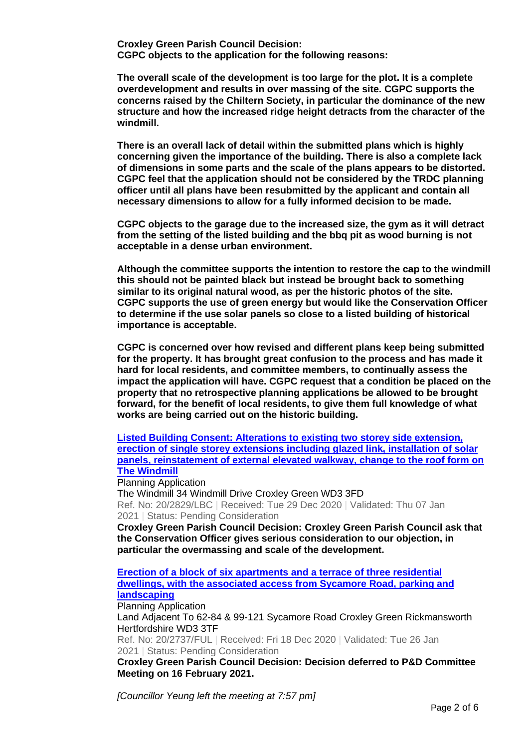**Croxley Green Parish Council Decision: CGPC objects to the application for the following reasons:**

**The overall scale of the development is too large for the plot. It is a complete overdevelopment and results in over massing of the site. CGPC supports the concerns raised by the Chiltern Society, in particular the dominance of the new structure and how the increased ridge height detracts from the character of the windmill.**

**There is an overall lack of detail within the submitted plans which is highly concerning given the importance of the building. There is also a complete lack of dimensions in some parts and the scale of the plans appears to be distorted. CGPC feel that the application should not be considered by the TRDC planning officer until all plans have been resubmitted by the applicant and contain all necessary dimensions to allow for a fully informed decision to be made.** 

**CGPC objects to the garage due to the increased size, the gym as it will detract from the setting of the listed building and the bbq pit as wood burning is not acceptable in a dense urban environment.**

**Although the committee supports the intention to restore the cap to the windmill this should not be painted black but instead be brought back to something similar to its original natural wood, as per the historic photos of the site. CGPC supports the use of green energy but would like the Conservation Officer to determine if the use solar panels so close to a listed building of historical importance is acceptable.**

**CGPC is concerned over how revised and different plans keep being submitted for the property. It has brought great confusion to the process and has made it hard for local residents, and committee members, to continually assess the impact the application will have. CGPC request that a condition be placed on the property that no retrospective planning applications be allowed to be brought forward, for the benefit of local residents, to give them full knowledge of what works are being carried out on the historic building.**

**[Listed Building Consent: Alterations to existing two storey side extension,](https://www3.threerivers.gov.uk/online-applications/applicationDetails.do?activeTab=summary&keyVal=QM3D09QFLSM00&prevPage=inTray)  [erection of single storey extensions including glazed link, installation of solar](https://www3.threerivers.gov.uk/online-applications/applicationDetails.do?activeTab=summary&keyVal=QM3D09QFLSM00&prevPage=inTray)  [panels, reinstatement of external elevated walkway, change to the roof form on](https://www3.threerivers.gov.uk/online-applications/applicationDetails.do?activeTab=summary&keyVal=QM3D09QFLSM00&prevPage=inTray)  [The Windmill](https://www3.threerivers.gov.uk/online-applications/applicationDetails.do?activeTab=summary&keyVal=QM3D09QFLSM00&prevPage=inTray)**

Planning Application The Windmill 34 Windmill Drive Croxley Green WD3 3FD Ref. No: 20/2829/LBC | Received: Tue 29 Dec 2020 | Validated: Thu 07 Jan 2021 | Status: Pending Consideration

**Croxley Green Parish Council Decision: Croxley Green Parish Council ask that the Conservation Officer gives serious consideration to our objection, in particular the overmassing and scale of the development.**

# **[Erection of a block of six apartments and a terrace of three residential](https://www3.threerivers.gov.uk/online-applications/applicationDetails.do?activeTab=summary&keyVal=QLIZOLQFLMZ00&prevPage=inTray)  [dwellings, with the associated access from Sycamore Road, parking and](https://www3.threerivers.gov.uk/online-applications/applicationDetails.do?activeTab=summary&keyVal=QLIZOLQFLMZ00&prevPage=inTray)  [landscaping](https://www3.threerivers.gov.uk/online-applications/applicationDetails.do?activeTab=summary&keyVal=QLIZOLQFLMZ00&prevPage=inTray)**

Planning Application Land Adjacent To 62-84 & 99-121 Sycamore Road Croxley Green Rickmansworth Hertfordshire WD3 3TF

Ref. No: 20/2737/FUL | Received: Fri 18 Dec 2020 | Validated: Tue 26 Jan 2021 | Status: Pending Consideration

**Croxley Green Parish Council Decision: Decision deferred to P&D Committee Meeting on 16 February 2021.**

*[Councillor Yeung left the meeting at 7:57 pm]*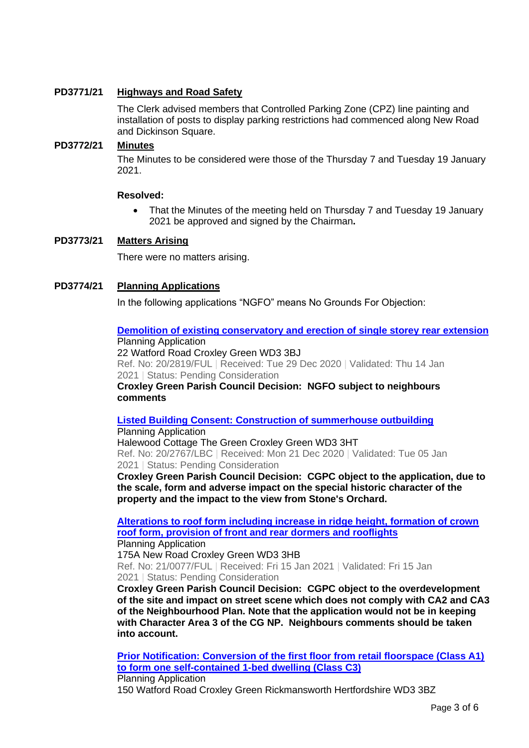## **PD3771/21 Highways and Road Safety**

The Clerk advised members that Controlled Parking Zone (CPZ) line painting and installation of posts to display parking restrictions had commenced along New Road and Dickinson Square.

## **PD3772/21 Minutes**

The Minutes to be considered were those of the Thursday 7 and Tuesday 19 January 2021.

## **Resolved:**

• That the Minutes of the meeting held on Thursday 7 and Tuesday 19 January 2021 be approved and signed by the Chairman**.**

## **PD3773/21 Matters Arising**

There were no matters arising.

# **PD3774/21 Planning Applications**

In the following applications "NGFO" means No Grounds For Objection:

#### **[Demolition of existing conservatory and erection of single storey rear extension](https://www3.threerivers.gov.uk/online-applications/applicationDetails.do?activeTab=summary&keyVal=QLVY8BQFLRP00&prevPage=inTray)** Planning Application

22 Watford Road Croxley Green WD3 3BJ

Ref. No: 20/2819/FUL | Received: Tue 29 Dec 2020 | Validated: Thu 14 Jan 2021 | Status: Pending Consideration

**Croxley Green Parish Council Decision: NGFO subject to neighbours comments**

# **[Listed Building Consent: Construction of summerhouse outbuilding](https://www3.threerivers.gov.uk/online-applications/applicationDetails.do?activeTab=summary&keyVal=QLKUJVQFLOM00&prevPage=inTray)**

Planning Application Halewood Cottage The Green Croxley Green WD3 3HT Ref. No: 20/2767/LBC | Received: Mon 21 Dec 2020 | Validated: Tue 05 Jan 2021 | Status: Pending Consideration

**Croxley Green Parish Council Decision: CGPC object to the application, due to the scale, form and adverse impact on the special historic character of the property and the impact to the view from Stone's Orchard.**

**[Alterations to roof form including increase in ridge height, formation of crown](https://www3.threerivers.gov.uk/online-applications/applicationDetails.do?activeTab=summary&keyVal=QMYUEVQFLXO00&prevPage=inTray)  [roof form, provision of front and rear dormers and rooflights](https://www3.threerivers.gov.uk/online-applications/applicationDetails.do?activeTab=summary&keyVal=QMYUEVQFLXO00&prevPage=inTray)**

Planning Application 175A New Road Croxley Green WD3 3HB Ref. No: 21/0077/FUL | Received: Fri 15 Jan 2021 | Validated: Fri 15 Jan 2021 | Status: Pending Consideration

**Croxley Green Parish Council Decision: CGPC object to the overdevelopment of the site and impact on street scene which does not comply with CA2 and CA3 of the Neighbourhood Plan. Note that the application would not be in keeping with Character Area 3 of the CG NP. Neighbours comments should be taken into account.**

**[Prior Notification: Conversion of the first floor from retail floorspace \(Class A1\)](https://www3.threerivers.gov.uk/online-applications/applicationDetails.do?activeTab=summary&keyVal=QMX34HQF0D100&prevPage=inTray)  [to form one self-contained 1-bed dwelling \(Class C3\)](https://www3.threerivers.gov.uk/online-applications/applicationDetails.do?activeTab=summary&keyVal=QMX34HQF0D100&prevPage=inTray)** Planning Application 150 Watford Road Croxley Green Rickmansworth Hertfordshire WD3 3BZ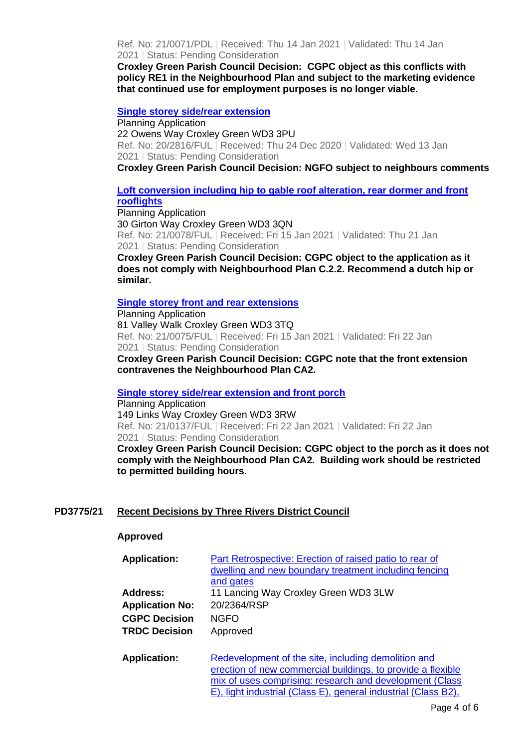Ref. No: 21/0071/PDL | Received: Thu 14 Jan 2021 | Validated: Thu 14 Jan 2021 | Status: Pending Consideration

**Croxley Green Parish Council Decision: CGPC object as this conflicts with policy RE1 in the Neighbourhood Plan and subject to the marketing evidence that continued use for employment purposes is no longer viable.**

#### **[Single storey side/rear extension](https://www3.threerivers.gov.uk/online-applications/applicationDetails.do?activeTab=summary&keyVal=QLU3SJQFLRH00&prevPage=inTray)**

Planning Application 22 Owens Way Croxley Green WD3 3PU Ref. No: 20/2816/FUL | Received: Thu 24 Dec 2020 | Validated: Wed 13 Jan 2021 | Status: Pending Consideration

**Croxley Green Parish Council Decision: NGFO subject to neighbours comments**

## **[Loft conversion including hip to gable roof alteration, rear dormer and front](https://www3.threerivers.gov.uk/online-applications/applicationDetails.do?activeTab=summary&keyVal=QMYUF8QFLXQ00&prevPage=inTray)  [rooflights](https://www3.threerivers.gov.uk/online-applications/applicationDetails.do?activeTab=summary&keyVal=QMYUF8QFLXQ00&prevPage=inTray)**

Planning Application 30 Girton Way Croxley Green WD3 3QN Ref. No: 21/0078/FUL | Received: Fri 15 Jan 2021 | Validated: Thu 21 Jan 2021 | Status: Pending Consideration

**Croxley Green Parish Council Decision: CGPC object to the application as it does not comply with Neighbourhood Plan C.2.2. Recommend a dutch hip or similar.**

#### **[Single storey front and rear extensions](https://www3.threerivers.gov.uk/online-applications/applicationDetails.do?activeTab=summary&keyVal=QMYUBYQFLXK00&prevPage=inTray)**

Planning Application 81 Valley Walk Croxley Green WD3 3TQ Ref. No: 21/0075/FUL | Received: Fri 15 Jan 2021 | Validated: Fri 22 Jan 2021 | Status: Pending Consideration

**Croxley Green Parish Council Decision: CGPC note that the front extension contravenes the Neighbourhood Plan CA2.**

#### **[Single storey side/rear extension and front porch](https://www3.threerivers.gov.uk/online-applications/applicationDetails.do?activeTab=summary&keyVal=QNC42SQFM0K00&prevPage=inTray)**

Planning Application 149 Links Way Croxley Green WD3 3RW Ref. No: 21/0137/FUL | Received: Fri 22 Jan 2021 | Validated: Fri 22 Jan 2021 | Status: Pending Consideration

**Croxley Green Parish Council Decision: CGPC object to the porch as it does not comply with the Neighbourhood Plan CA2. Building work should be restricted to permitted building hours.** 

## **PD3775/21 Recent Decisions by Three Rivers District Council**

#### **Approved**

| <b>Application:</b>    | Part Retrospective: Erection of raised patio to rear of<br>dwelling and new boundary treatment including fencing<br>and gates                                                                                                                   |
|------------------------|-------------------------------------------------------------------------------------------------------------------------------------------------------------------------------------------------------------------------------------------------|
| Address:               | 11 Lancing Way Croxley Green WD3 3LW                                                                                                                                                                                                            |
| <b>Application No:</b> | 20/2364/RSP                                                                                                                                                                                                                                     |
| <b>CGPC Decision</b>   | <b>NGFO</b>                                                                                                                                                                                                                                     |
| <b>TRDC Decision</b>   | Approved                                                                                                                                                                                                                                        |
| <b>Application:</b>    | Redevelopment of the site, including demolition and<br>erection of new commercial buildings, to provide a flexible<br>mix of uses comprising: research and development (Class<br>E), light industrial (Class E), general industrial (Class B2), |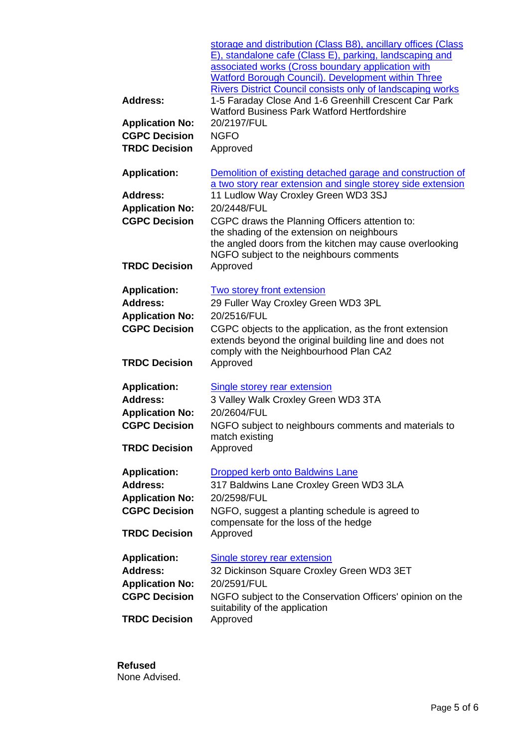|                        | storage and distribution (Class B8), ancillary offices (Class<br>E), standalone cafe (Class E), parking, landscaping and<br>associated works (Cross boundary application with<br><b>Watford Borough Council). Development within Three</b><br><b>Rivers District Council consists only of landscaping works</b> |
|------------------------|-----------------------------------------------------------------------------------------------------------------------------------------------------------------------------------------------------------------------------------------------------------------------------------------------------------------|
| <b>Address:</b>        | 1-5 Faraday Close And 1-6 Greenhill Crescent Car Park<br><b>Watford Business Park Watford Hertfordshire</b>                                                                                                                                                                                                     |
| <b>Application No:</b> | 20/2197/FUL                                                                                                                                                                                                                                                                                                     |
| <b>CGPC Decision</b>   | <b>NGFO</b>                                                                                                                                                                                                                                                                                                     |
| <b>TRDC Decision</b>   | Approved                                                                                                                                                                                                                                                                                                        |
| <b>Application:</b>    | Demolition of existing detached garage and construction of<br>a two story rear extension and single storey side extension                                                                                                                                                                                       |
| <b>Address:</b>        | 11 Ludlow Way Croxley Green WD3 3SJ                                                                                                                                                                                                                                                                             |
| <b>Application No:</b> | 20/2448/FUL                                                                                                                                                                                                                                                                                                     |
| <b>CGPC Decision</b>   | CGPC draws the Planning Officers attention to:<br>the shading of the extension on neighbours                                                                                                                                                                                                                    |
|                        | the angled doors from the kitchen may cause overlooking                                                                                                                                                                                                                                                         |
| <b>TRDC Decision</b>   | NGFO subject to the neighbours comments<br>Approved                                                                                                                                                                                                                                                             |
| <b>Application:</b>    | <b>Two storey front extension</b>                                                                                                                                                                                                                                                                               |
| <b>Address:</b>        | 29 Fuller Way Croxley Green WD3 3PL                                                                                                                                                                                                                                                                             |
| <b>Application No:</b> | 20/2516/FUL                                                                                                                                                                                                                                                                                                     |
| <b>CGPC Decision</b>   | CGPC objects to the application, as the front extension<br>extends beyond the original building line and does not<br>comply with the Neighbourhood Plan CA2                                                                                                                                                     |
| <b>TRDC Decision</b>   | Approved                                                                                                                                                                                                                                                                                                        |
| <b>Application:</b>    | Single storey rear extension                                                                                                                                                                                                                                                                                    |
| <b>Address:</b>        | 3 Valley Walk Croxley Green WD3 3TA                                                                                                                                                                                                                                                                             |
| <b>Application No:</b> | 20/2604/FUL                                                                                                                                                                                                                                                                                                     |
| <b>CGPC Decision</b>   | NGFO subject to neighbours comments and materials to<br>match existing                                                                                                                                                                                                                                          |
| <b>TRDC Decision</b>   | Approved                                                                                                                                                                                                                                                                                                        |
| <b>Application:</b>    | Dropped kerb onto Baldwins Lane                                                                                                                                                                                                                                                                                 |
| <b>Address:</b>        | 317 Baldwins Lane Croxley Green WD3 3LA                                                                                                                                                                                                                                                                         |
| <b>Application No:</b> | 20/2598/FUL                                                                                                                                                                                                                                                                                                     |
| <b>CGPC Decision</b>   | NGFO, suggest a planting schedule is agreed to<br>compensate for the loss of the hedge                                                                                                                                                                                                                          |
| <b>TRDC Decision</b>   | Approved                                                                                                                                                                                                                                                                                                        |
| <b>Application:</b>    | <b>Single storey rear extension</b>                                                                                                                                                                                                                                                                             |
| <b>Address:</b>        | 32 Dickinson Square Croxley Green WD3 3ET                                                                                                                                                                                                                                                                       |
| <b>Application No:</b> | 20/2591/FUL                                                                                                                                                                                                                                                                                                     |
| <b>CGPC Decision</b>   | NGFO subject to the Conservation Officers' opinion on the<br>suitability of the application                                                                                                                                                                                                                     |
| <b>TRDC Decision</b>   | Approved                                                                                                                                                                                                                                                                                                        |

**Refused** None Advised.